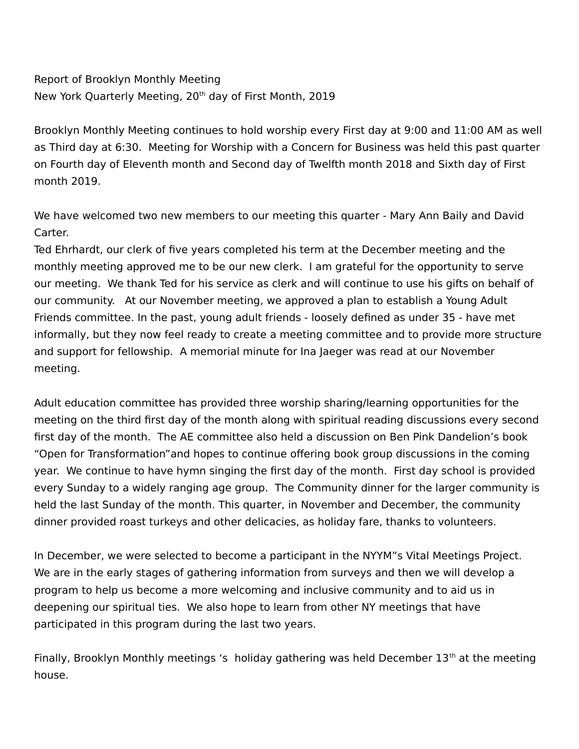## Report of Brooklyn Monthly Meeting New York Quarterly Meeting, 20<sup>th</sup> day of First Month, 2019

Brooklyn Monthly Meeting continues to hold worship every First day at 9:00 and 11:00 AM as well as Third day at 6:30. Meeting for Worship with a Concern for Business was held this past quarter on Fourth day of Eleventh month and Second day of Twelfth month 2018 and Sixth day of First month 2019.

We have welcomed two new members to our meeting this quarter - Mary Ann Baily and David Carter.

Ted Ehrhardt, our clerk of five years completed his term at the December meeting and the monthly meeting approved me to be our new clerk. I am grateful for the opportunity to serve our meeting. We thank Ted for his service as clerk and will continue to use his gifts on behalf of our community. At our November meeting, we approved a plan to establish a Young Adult Friends committee. In the past, young adult friends - loosely defined as under 35 - have met informally, but they now feel ready to create a meeting committee and to provide more structure and support for fellowship. A memorial minute for Ina Jaeger was read at our November meeting.

Adult education committee has provided three worship sharing/learning opportunities for the meeting on the third first day of the month along with spiritual reading discussions every second first day of the month. The AE committee also held a discussion on Ben Pink Dandelion's book "Open for Transformation"and hopes to continue offering book group discussions in the coming year. We continue to have hymn singing the first day of the month. First day school is provided every Sunday to a widely ranging age group. The Community dinner for the larger community is held the last Sunday of the month. This quarter, in November and December, the community dinner provided roast turkeys and other delicacies, as holiday fare, thanks to volunteers.

In December, we were selected to become a participant in the NYYM"s Vital Meetings Project. We are in the early stages of gathering information from surveys and then we will develop a program to help us become a more welcoming and inclusive community and to aid us in deepening our spiritual ties. We also hope to learn from other NY meetings that have participated in this program during the last two years.

Finally, Brooklyn Monthly meetings 's holiday gathering was held December 13<sup>th</sup> at the meeting house.